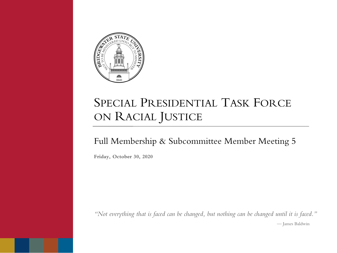

## SPECIAL PRESIDENTIAL TASK FORCE ON RACIAL JUSTICE

#### Full Membership & Subcommittee Member Meeting 5

**Friday, October 30, 2020**

*"Not everything that is faced can be changed, but nothing can be changed until it is faced."* — James Baldwin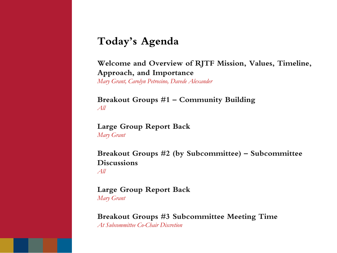#### **Today's Agenda**

**Welcome and Overview of RJTF Mission, Values, Timeline, Approach, and Importance** *Mary Grant, Carolyn Petrosino, Davede Alexander*

**Breakout Groups #1 – Community Building** *All*

**Large Group Report Back** *Mary Grant*

**Breakout Groups #2 (by Subcommittee) – Subcommittee Discussions** *All*

**Large Group Report Back** *Mary Grant*

**Breakout Groups #3 Subcommittee Meeting Time**  *At Subcommittee Co-Chair Discretion*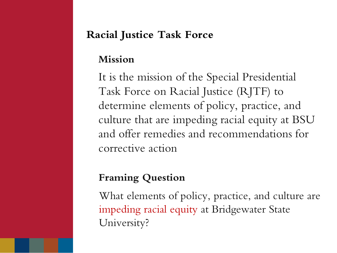### **Racial Justice Task Force**

#### **Mission**

It is the mission of the Special Presidential Task Force on Racial Justice (RJTF) to determine elements of policy, practice, and culture that are impeding racial equity at BSU and offer remedies and recommendations for corrective action

### **Framing Question**

What elements of policy, practice, and culture are impeding racial equity at Bridgewater State University?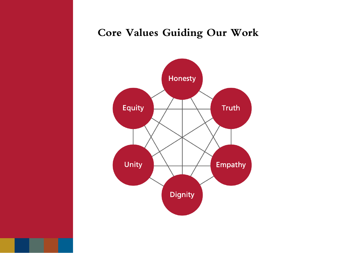### **Core Values Guiding Our Work**

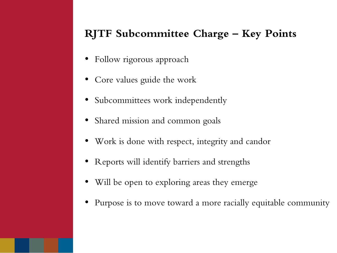### **RJTF Subcommittee Charge – Key Points**

- Follow rigorous approach
- Core values guide the work
- Subcommittees work independently
- Shared mission and common goals
- Work is done with respect, integrity and candor
- Reports will identify barriers and strengths
- Will be open to exploring areas they emerge
- Purpose is to move toward a more racially equitable community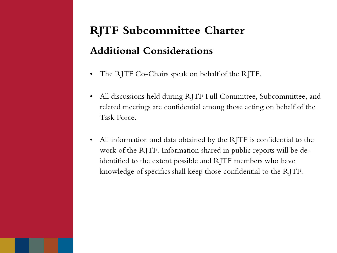# **RJTF Subcommittee Charter Additional Considerations**

- The RJTF Co-Chairs speak on behalf of the RJTF.
- All discussions held during RJTF Full Committee, Subcommittee, and related meetings are confidential among those acting on behalf of the Task Force.
- All information and data obtained by the RJTF is confidential to the work of the RJTF. Information shared in public reports will be deidentified to the extent possible and RJTF members who have knowledge of specifics shall keep those confidential to the RJTF.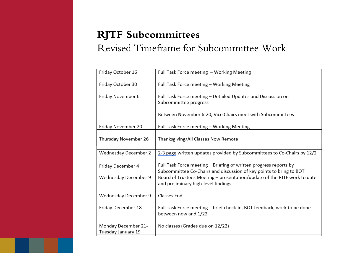### **RJTF Subcommittees** Revised Timeframe for Subcommittee Work

| Friday October 16                         | Full Task Force meeting - Working Meeting                                                                                                |
|-------------------------------------------|------------------------------------------------------------------------------------------------------------------------------------------|
| Friday October 30                         | Full Task Force meeting - Working Meeting                                                                                                |
| Friday November 6                         | Full Task Force meeting - Detailed Updates and Discussion on<br>Subcommittee progress                                                    |
|                                           | Between November 6-20, Vice Chairs meet with Subcommittees                                                                               |
| Friday November 20                        | Full Task Force meeting - Working Meeting                                                                                                |
| Thursday November 26                      | Thanksgiving/All Classes Now Remote                                                                                                      |
| Wednesday December 2                      | 2-3 page written updates provided by Subcommittees to Co-Chairs by 12/2                                                                  |
| Friday December 4                         | Full Task Force meeting – Briefing of written progress reports by<br>Subcommittee Co-Chairs and discussion of key points to bring to BOT |
| Wednesday December 9                      | Board of Trustees Meeting - presentation/update of the RJTF work to date<br>and preliminary high-level findings                          |
| Wednesday December 9                      | Classes End                                                                                                                              |
| Friday December 18                        | Full Task Force meeting - brief check-in, BOT feedback, work to be done<br>between now and 1/22                                          |
| Monday December 21-<br>Tuesday January 19 | No classes (Grades due on 12/22)                                                                                                         |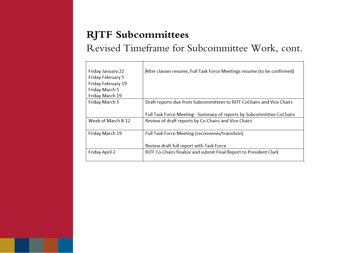### **RJTF Subcommittees**

### Revised Timeframe for Subcommittee Work, cont.

| Friday January 22<br>Friday February 5<br>Friday February 19<br>Friday March 5<br>Friday March 19 | After classes resume, Full Task Force Meetings resume (to be confirmed)                                                       |
|---------------------------------------------------------------------------------------------------|-------------------------------------------------------------------------------------------------------------------------------|
| Friday March 5                                                                                    | Draft reports due from Subcommittees to RJTF CoChairs and Vice Chairs                                                         |
| Week of March 8-12                                                                                | Full Task Force Meeting - Summary of reports by Subcommittee CoChairs<br>Review of draft reports by Co-Chairs and Vice Chairs |
| Friday March 19                                                                                   | Full Task Force Meeting (reconvenes/transition)                                                                               |
|                                                                                                   | Review draft full report with Task Force                                                                                      |
| Friday April 2                                                                                    | RJTF Co-Chairs finalize and submit Final Report to President Clark                                                            |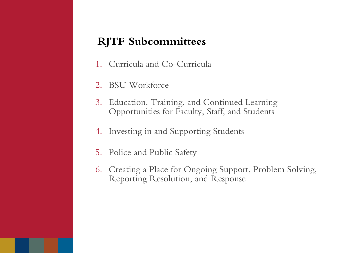#### **RJTF Subcommittees**

- 1. Curricula and Co-Curricula
- 2. BSU Workforce
- 3. Education, Training, and Continued Learning Opportunities for Faculty, Staff, and Students
- 4. Investing in and Supporting Students
- 5. Police and Public Safety
- 6. Creating a Place for Ongoing Support, Problem Solving, Reporting Resolution, and Response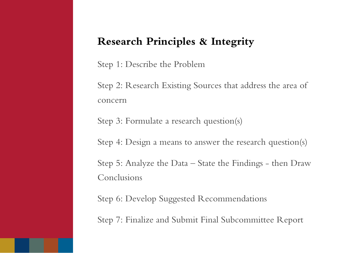#### **Research Principles & Integrity**

Step 1: Describe the Problem

Step 2: Research Existing Sources that address the area of concern

Step 3: Formulate a research question(s)

Step 4: Design a means to answer the research question(s)

Step 5: Analyze the Data – State the Findings - then Draw Conclusions

Step 6: Develop Suggested Recommendations

Step 7: Finalize and Submit Final Subcommittee Report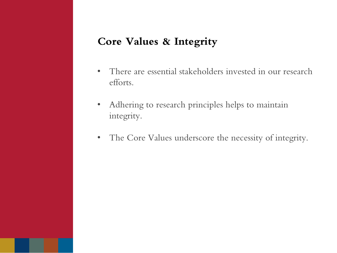#### **Core Values & Integrity**

- There are essential stakeholders invested in our research efforts.
- Adhering to research principles helps to maintain integrity.
- The Core Values underscore the necessity of integrity.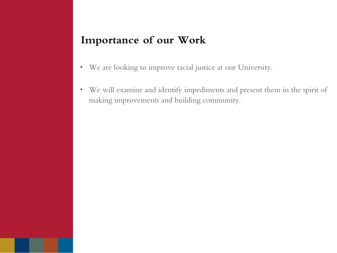#### **Importance of our Work**

- We are looking to improve racial justice at our University.
- We will examine and identify impediments and present them in the spirit of making improvements and building community.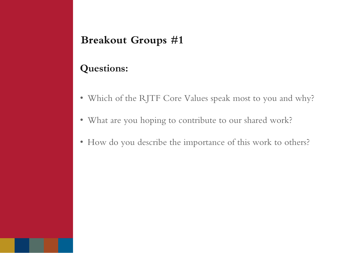### **Breakout Groups #1**

#### **Questions:**

- Which of the RJTF Core Values speak most to you and why?
- What are you hoping to contribute to our shared work?
- How do you describe the importance of this work to others?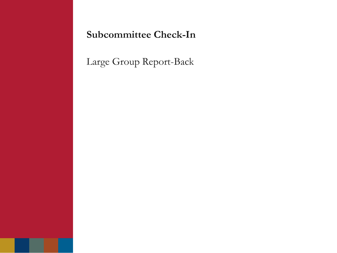**Subcommittee Check-In**

Large Group Report-Back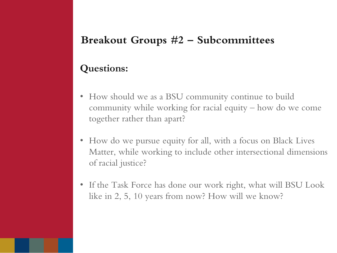### **Breakout Groups #2 – Subcommittees**

#### **Questions:**

- How should we as a BSU community continue to build community while working for racial equity – how do we come together rather than apart?
- How do we pursue equity for all, with a focus on Black Lives Matter, while working to include other intersectional dimensions of racial justice?
- If the Task Force has done our work right, what will BSU Look like in 2, 5, 10 years from now? How will we know?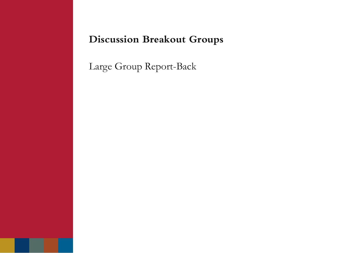### **Discussion Breakout Groups**

Large Group Report-Back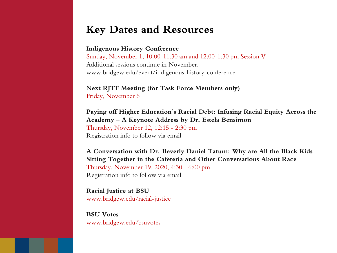#### **Key Dates and Resources**

#### **Indigenous History Conference**

Sunday, November 1, 10:00-11:30 am and 12:00-1:30 pm Session V Additional sessions continue in November. www.bridgew.edu/event/indigenous-history-conference

**Next RJTF Meeting (for Task Force Members only)** Friday, November 6

**Paying off Higher Education's Racial Debt: Infusing Racial Equity Across the Academy – A Keynote Address by Dr. Estela Bensimon** Thursday, November 12, 12:15 - 2:30 pm Registration info to follow via email

**A Conversation with Dr. Beverly Daniel Tatum: Why are All the Black Kids Sitting Together in the Cafeteria and Other Conversations About Race**  Thursday, November 19, 2020, 4:30 - 6:00 pm Registration info to follow via email

**Racial Justice at BSU** www.bridgew.edu/racial-justice

**BSU Votes** www.bridgew.edu/bsuvotes